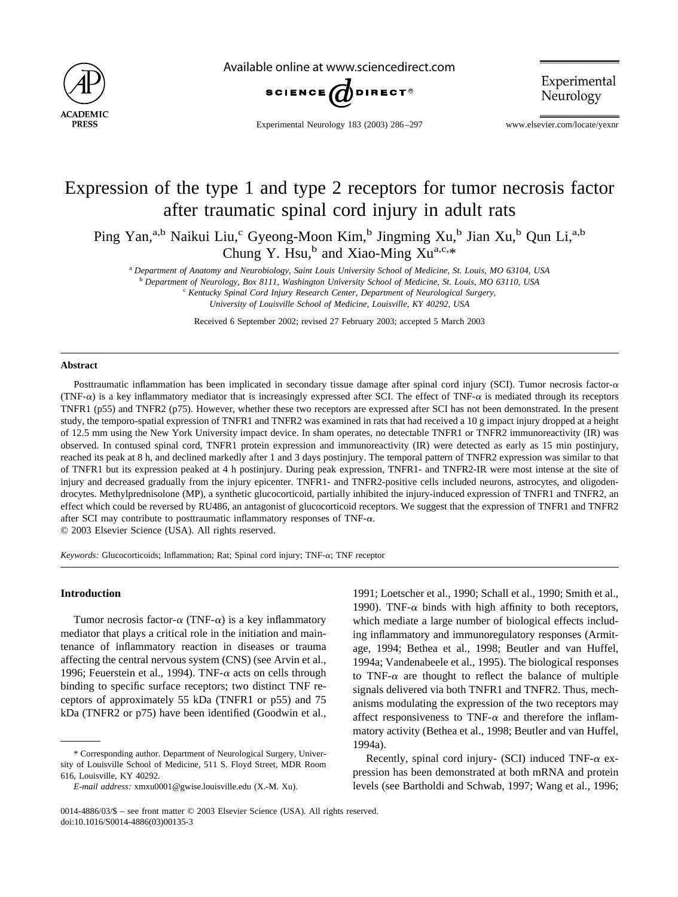

Available online at www.sciencedirect.com



Experimental Neurology 183 (2003) 286–297 www.elsevier.com/locate/yexnr

Experimental Neurology

# Expression of the type 1 and type 2 receptors for tumor necrosis factor after traumatic spinal cord injury in adult rats

Ping Yan,<sup>a,b</sup> Naikui Liu,<sup>c</sup> Gyeong-Moon Kim,<sup>b</sup> Jingming Xu,<sup>b</sup> Jian Xu,<sup>b</sup> Qun Li,<sup>a,b</sup> Chung Y. Hsu, $^{\rm b}$  and Xiao-Ming Xu<sup>a,c,\*</sup>

<sup>a</sup> *Department of Anatomy and Neurobiology, Saint Louis University School of Medicine, St. Louis, MO 63104, USA*

<sup>b</sup> *Department of Neurology, Box 8111, Washington University School of Medicine, St. Louis, MO 63110, USA*

<sup>c</sup> *Kentucky Spinal Cord Injury Research Center, Department of Neurological Surgery,*

*University of Louisville School of Medicine, Louisville, KY 40292, USA*

Received 6 September 2002; revised 27 February 2003; accepted 5 March 2003

#### **Abstract**

Posttraumatic inflammation has been implicated in secondary tissue damage after spinal cord injury (SCI). Tumor necrosis factor- $\alpha$ (TNF- $\alpha$ ) is a key inflammatory mediator that is increasingly expressed after SCI. The effect of TNF- $\alpha$  is mediated through its receptors TNFR1 (p55) and TNFR2 (p75). However, whether these two receptors are expressed after SCI has not been demonstrated. In the present study, the temporo-spatial expression of TNFR1 and TNFR2 was examined in rats that had received a 10 g impact injury dropped at a height of 12.5 mm using the New York University impact device. In sham operates, no detectable TNFR1 or TNFR2 immunoreactivity (IR) was observed. In contused spinal cord, TNFR1 protein expression and immunoreactivity (IR) were detected as early as 15 min postinjury, reached its peak at 8 h, and declined markedly after 1 and 3 days postinjury. The temporal pattern of TNFR2 expression was similar to that of TNFR1 but its expression peaked at 4 h postinjury. During peak expression, TNFR1- and TNFR2-IR were most intense at the site of injury and decreased gradually from the injury epicenter. TNFR1- and TNFR2-positive cells included neurons, astrocytes, and oligodendrocytes. Methylprednisolone (MP), a synthetic glucocorticoid, partially inhibited the injury-induced expression of TNFR1 and TNFR2, an effect which could be reversed by RU486, an antagonist of glucocorticoid receptors. We suggest that the expression of TNFR1 and TNFR2 after SCI may contribute to posttraumatic inflammatory responses of TNF- $\alpha$ . © 2003 Elsevier Science (USA). All rights reserved.

Keywords: Glucocorticoids; Inflammation; Rat; Spinal cord injury; TNF- $\alpha$ ; TNF receptor

# **Introduction**

Tumor necrosis factor- $\alpha$  (TNF- $\alpha$ ) is a key inflammatory mediator that plays a critical role in the initiation and maintenance of inflammatory reaction in diseases or trauma affecting the central nervous system (CNS) (see [Arvin et al.,](#page-9-0) [1996; Feuerstein et al., 1994\).](#page-9-0) TNF- $\alpha$  acts on cells through binding to specific surface receptors; two distinct TNF receptors of approximately 55 kDa (TNFR1 or p55) and 75 kDa (TNFR2 or p75) have been identified [\(Goodwin et al.,](#page-10-0)

[1991; Loetscher et al., 1990; Schall et al., 1990; Smith et al.,](#page-10-0) [1990\)](#page-10-0). TNF- $\alpha$  binds with high affinity to both receptors, which mediate a large number of biological effects including inflammatory and immunoregulatory responses [\(Armit](#page-9-0)[age, 1994; Bethea et al., 1998; Beutler and van Huffel,](#page-9-0) [1994a; Vandenabeele et al., 1995\).](#page-9-0) The biological responses to TNF- $\alpha$  are thought to reflect the balance of multiple signals delivered via both TNFR1 and TNFR2. Thus, mechanisms modulating the expression of the two receptors may affect responsiveness to TNF- $\alpha$  and therefore the inflammatory activity [\(Bethea et al., 1998; Beutler and van Huffel,](#page-10-0) [1994a\)](#page-10-0).

Recently, spinal cord injury- (SCI) induced TNF- $\alpha$  expression has been demonstrated at both mRNA and protein levels (see Bartholdi and Schwab, 1997; Wang et al., 1996;

<sup>\*</sup> Corresponding author. Department of Neurological Surgery, University of Louisville School of Medicine, 511 S. Floyd Street, MDR Room 616, Louisville, KY 40292.

*E-mail address:* xmxu0001@gwise.louisville.edu (X.-M. Xu).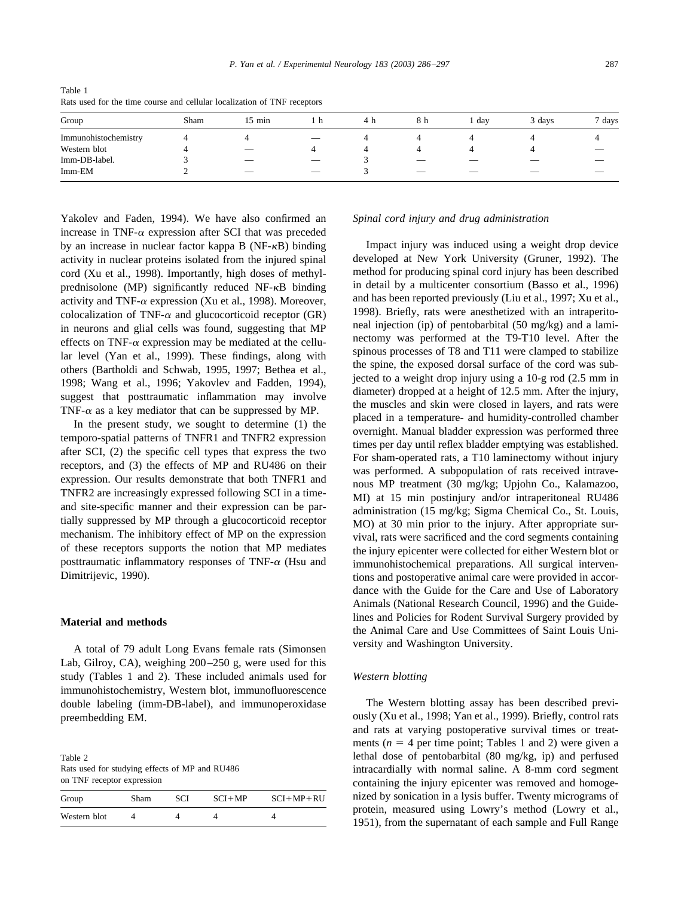<span id="page-1-0"></span>Table 1 Rats used for the time course and cellular localization of TNF receptors

| Group                | Sham | $15 \text{ min}$               | l h | 4 h | 8 h | day                            | 3 days | days                            |
|----------------------|------|--------------------------------|-----|-----|-----|--------------------------------|--------|---------------------------------|
| Immunohistochemistry |      |                                |     |     |     |                                |        |                                 |
| Western blot         | 4    |                                | 4   |     |     |                                |        | $\hspace{0.1mm}-\hspace{0.1mm}$ |
| Imm-DB-label.        |      |                                | __  |     |     |                                |        |                                 |
| $Imm$ -EM            |      | $\overbrace{\hspace{25mm}}^{}$ |     |     |     | $\overbrace{\hspace{25mm}}^{}$ |        |                                 |

[Yakolev and Faden, 1994\)](#page-10-0). We have also confirmed an increase in TNF- $\alpha$  expression after SCI that was preceded by an increase in nuclear factor kappa  $B(NF-KB)$  binding activity in nuclear proteins isolated from the injured spinal cord [\(Xu et al., 1998\)](#page-11-0). Importantly, high doses of methylprednisolone (MP) significantly reduced NF- $\kappa$ B binding activity and TNF- $\alpha$  expression [\(Xu et al., 1998\).](#page-11-0) Moreover, colocalization of TNF- $\alpha$  and glucocorticoid receptor (GR) in neurons and glial cells was found, suggesting that MP effects on TNF- $\alpha$  expression may be mediated at the cellular level [\(Yan et al., 1999\)](#page-11-0). These findings, along with others [\(Bartholdi and Schwab, 1995, 1997; Bethea et al.,](#page-10-0) [1998; Wang et al., 1996; Yakovlev and Fadden, 1994\)](#page-10-0), suggest that posttraumatic inflammation may involve TNF- $\alpha$  as a key mediator that can be suppressed by MP.

In the present study, we sought to determine (1) the temporo-spatial patterns of TNFR1 and TNFR2 expression after SCI, (2) the specific cell types that express the two receptors, and (3) the effects of MP and RU486 on their expression. Our results demonstrate that both TNFR1 and TNFR2 are increasingly expressed following SCI in a timeand site-specific manner and their expression can be partially suppressed by MP through a glucocorticoid receptor mechanism. The inhibitory effect of MP on the expression of these receptors supports the notion that MP mediates posttraumatic inflammatory responses of TNF- $\alpha$  [\(Hsu and](#page-10-0) [Dimitrijevic, 1990\).](#page-10-0)

#### **Material and methods**

A total of 79 adult Long Evans female rats (Simonsen Lab, Gilroy, CA), weighing 200–250 g, were used for this study (Tables 1 and 2). These included animals used for immunohistochemistry, Western blot, immunofluorescence double labeling (imm-DB-label), and immunoperoxidase preembedding EM.

Table 2 Rats used for studying effects of MP and RU486 on TNF receptor expression

| Group        | Sham | SCI | $SCI+MP$ | $SCI+MP+RU$ |
|--------------|------|-----|----------|-------------|
| Western blot |      |     |          |             |

# *Spinal cord injury and drug administration*

Impact injury was induced using a weight drop device developed at New York University [\(Gruner, 1992\).](#page-10-0) The method for producing spinal cord injury has been described in detail by a multicenter consortium [\(Basso et al., 1996\)](#page-10-0) and has been reported previously [\(Liu et al., 1997; Xu et al.,](#page-10-0) [1998\)](#page-10-0). Briefly, rats were anesthetized with an intraperitoneal injection (ip) of pentobarbital (50 mg/kg) and a laminectomy was performed at the T9-T10 level. After the spinous processes of T8 and T11 were clamped to stabilize the spine, the exposed dorsal surface of the cord was subjected to a weight drop injury using a 10-g rod (2.5 mm in diameter) dropped at a height of 12.5 mm. After the injury, the muscles and skin were closed in layers, and rats were placed in a temperature- and humidity-controlled chamber overnight. Manual bladder expression was performed three times per day until reflex bladder emptying was established. For sham-operated rats, a T10 laminectomy without injury was performed. A subpopulation of rats received intravenous MP treatment (30 mg/kg; Upjohn Co., Kalamazoo, MI) at 15 min postinjury and/or intraperitoneal RU486 administration (15 mg/kg; Sigma Chemical Co., St. Louis, MO) at 30 min prior to the injury. After appropriate survival, rats were sacrificed and the cord segments containing the injury epicenter were collected for either Western blot or immunohistochemical preparations. All surgical interventions and postoperative animal care were provided in accordance with the Guide for the Care and Use of Laboratory Animals (National Research Council, 1996) and the Guidelines and Policies for Rodent Survival Surgery provided by the Animal Care and Use Committees of Saint Louis University and Washington University.

#### *Western blotting*

The Western blotting assay has been described previously [\(Xu et al., 1998; Yan et al., 1999\)](#page-11-0). Briefly, control rats and rats at varying postoperative survival times or treatments  $(n = 4$  per time point; Tables 1 and 2) were given a lethal dose of pentobarbital (80 mg/kg, ip) and perfused intracardially with normal saline. A 8-mm cord segment containing the injury epicenter was removed and homogenized by sonication in a lysis buffer. Twenty micrograms of protein, measured using Lowry's method [\(Lowry et al.,](#page-10-0) [1951\)](#page-10-0), from the supernatant of each sample and Full Range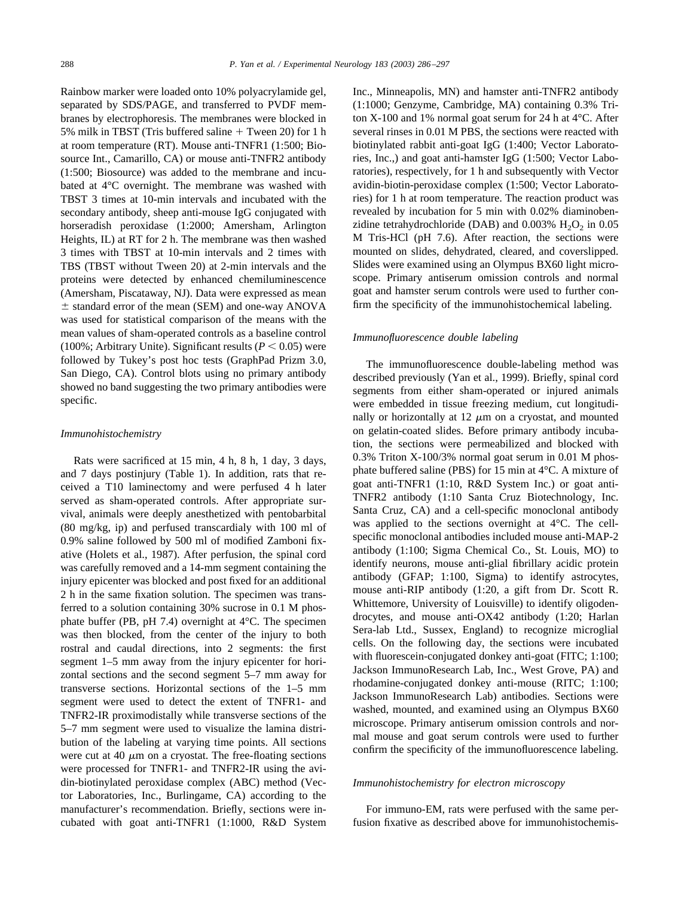Rainbow marker were loaded onto 10% polyacrylamide gel, separated by SDS/PAGE, and transferred to PVDF membranes by electrophoresis. The membranes were blocked in 5% milk in TBST (Tris buffered saline + Tween 20) for 1 h at room temperature (RT). Mouse anti-TNFR1 (1:500; Biosource Int., Camarillo, CA) or mouse anti-TNFR2 antibody (1:500; Biosource) was added to the membrane and incubated at 4°C overnight. The membrane was washed with TBST 3 times at 10-min intervals and incubated with the secondary antibody, sheep anti-mouse IgG conjugated with horseradish peroxidase (1:2000; Amersham, Arlington Heights, IL) at RT for 2 h. The membrane was then washed 3 times with TBST at 10-min intervals and 2 times with TBS (TBST without Tween 20) at 2-min intervals and the proteins were detected by enhanced chemiluminescence (Amersham, Piscataway, NJ). Data were expressed as mean  $\pm$  standard error of the mean (SEM) and one-way ANOVA was used for statistical comparison of the means with the mean values of sham-operated controls as a baseline control (100%; Arbitrary Unite). Significant results ( $P < 0.05$ ) were followed by Tukey's post hoc tests (GraphPad Prizm 3.0, San Diego, CA). Control blots using no primary antibody showed no band suggesting the two primary antibodies were specific.

### *Immunohistochemistry*

Rats were sacrificed at 15 min, 4 h, 8 h, 1 day, 3 days, and 7 days postinjury ([Table 1](#page-1-0)). In addition, rats that received a T10 laminectomy and were perfused 4 h later served as sham-operated controls. After appropriate survival, animals were deeply anesthetized with pentobarbital (80 mg/kg, ip) and perfused transcardialy with 100 ml of 0.9% saline followed by 500 ml of modified Zamboni fixative [\(Holets et al., 1987\).](#page-10-0) After perfusion, the spinal cord was carefully removed and a 14-mm segment containing the injury epicenter was blocked and post fixed for an additional 2 h in the same fixation solution. The specimen was transferred to a solution containing 30% sucrose in 0.1 M phosphate buffer (PB, pH 7.4) overnight at 4°C. The specimen was then blocked, from the center of the injury to both rostral and caudal directions, into 2 segments: the first segment 1–5 mm away from the injury epicenter for horizontal sections and the second segment 5–7 mm away for transverse sections. Horizontal sections of the 1–5 mm segment were used to detect the extent of TNFR1- and TNFR2-IR proximodistally while transverse sections of the 5–7 mm segment were used to visualize the lamina distribution of the labeling at varying time points. All sections were cut at 40  $\mu$ m on a cryostat. The free-floating sections were processed for TNFR1- and TNFR2-IR using the avidin-biotinylated peroxidase complex (ABC) method (Vector Laboratories, Inc., Burlingame, CA) according to the manufacturer's recommendation. Briefly, sections were incubated with goat anti-TNFR1 (1:1000, R&D System Inc., Minneapolis, MN) and hamster anti-TNFR2 antibody (1:1000; Genzyme, Cambridge, MA) containing 0.3% Triton X-100 and 1% normal goat serum for 24 h at 4°C. After several rinses in 0.01 M PBS, the sections were reacted with biotinylated rabbit anti-goat IgG (1:400; Vector Laboratories, Inc.,) and goat anti-hamster IgG (1:500; Vector Laboratories), respectively, for 1 h and subsequently with Vector avidin-biotin-peroxidase complex (1:500; Vector Laboratories) for 1 h at room temperature. The reaction product was revealed by incubation for 5 min with 0.02% diaminobenzidine tetrahydrochloride (DAB) and  $0.003\%$  H<sub>2</sub>O<sub>2</sub> in 0.05 M Tris-HCl (pH 7.6). After reaction, the sections were mounted on slides, dehydrated, cleared, and coverslipped. Slides were examined using an Olympus BX60 light microscope. Primary antiserum omission controls and normal goat and hamster serum controls were used to further confirm the specificity of the immunohistochemical labeling.

#### *Immunofluorescence double labeling*

The immunofluorescence double-labeling method was described previously [\(Yan et al., 1999\).](#page-11-0) Briefly, spinal cord segments from either sham-operated or injured animals were embedded in tissue freezing medium, cut longitudinally or horizontally at 12  $\mu$ m on a cryostat, and mounted on gelatin-coated slides. Before primary antibody incubation, the sections were permeabilized and blocked with 0.3% Triton X-100/3% normal goat serum in 0.01 M phosphate buffered saline (PBS) for 15 min at 4°C. A mixture of goat anti-TNFR1 (1:10, R&D System Inc.) or goat anti-TNFR2 antibody (1:10 Santa Cruz Biotechnology, Inc. Santa Cruz, CA) and a cell-specific monoclonal antibody was applied to the sections overnight at 4°C. The cellspecific monoclonal antibodies included mouse anti-MAP-2 antibody (1:100; Sigma Chemical Co., St. Louis, MO) to identify neurons, mouse anti-glial fibrillary acidic protein antibody (GFAP; 1:100, Sigma) to identify astrocytes, mouse anti-RIP antibody (1:20, a gift from Dr. Scott R. Whittemore, University of Louisville) to identify oligodendrocytes, and mouse anti-OX42 antibody (1:20; Harlan Sera-lab Ltd., Sussex, England) to recognize microglial cells. On the following day, the sections were incubated with fluorescein-conjugated donkey anti-goat (FITC; 1:100; Jackson ImmunoResearch Lab, Inc., West Grove, PA) and rhodamine-conjugated donkey anti-mouse (RITC; 1:100; Jackson ImmunoResearch Lab) antibodies. Sections were washed, mounted, and examined using an Olympus BX60 microscope. Primary antiserum omission controls and normal mouse and goat serum controls were used to further confirm the specificity of the immunofluorescence labeling.

#### *Immunohistochemistry for electron microscopy*

For immuno-EM, rats were perfused with the same perfusion fixative as described above for immunohistochemis-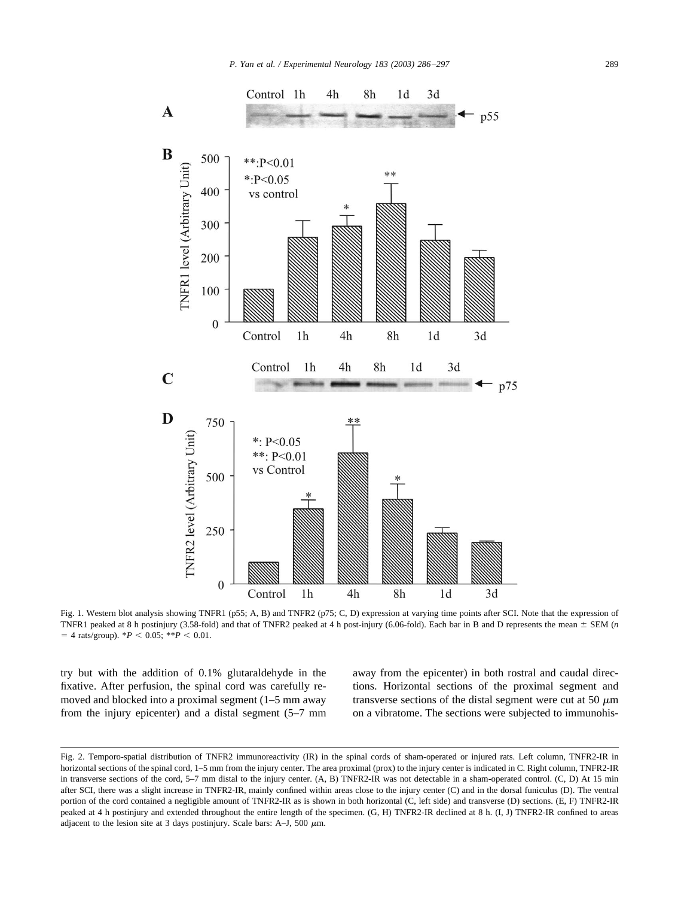<span id="page-3-0"></span>

Fig. 1. Western blot analysis showing TNFR1 (p55; A, B) and TNFR2 (p75; C, D) expression at varying time points after SCI. Note that the expression of TNFR1 peaked at 8 h postinjury (3.58-fold) and that of TNFR2 peaked at 4 h post-injury (6.06-fold). Each bar in B and D represents the mean  $\pm$  SEM (*n*  $=$  4 rats/group).  $*P < 0.05$ ;  $**P < 0.01$ .

try but with the addition of 0.1% glutaraldehyde in the fixative. After perfusion, the spinal cord was carefully removed and blocked into a proximal segment (1–5 mm away from the injury epicenter) and a distal segment (5–7 mm away from the epicenter) in both rostral and caudal directions. Horizontal sections of the proximal segment and transverse sections of the distal segment were cut at 50  $\mu$ m on a vibratome. The sections were subjected to immunohis-

Fig. 2. Temporo-spatial distribution of TNFR2 immunoreactivity (IR) in the spinal cords of sham-operated or injured rats. Left column, TNFR2-IR in horizontal sections of the spinal cord, 1–5 mm from the injury center. The area proximal (prox) to the injury center is indicated in C. Right column, TNFR2-IR in transverse sections of the cord, 5–7 mm distal to the injury center. (A, B) TNFR2-IR was not detectable in a sham-operated control. (C, D) At 15 min after SCI, there was a slight increase in TNFR2-IR, mainly confined within areas close to the injury center (C) and in the dorsal funiculus (D). The ventral portion of the cord contained a negligible amount of TNFR2-IR as is shown in both horizontal (C, left side) and transverse (D) sections. (E, F) TNFR2-IR peaked at 4 h postinjury and extended throughout the entire length of the specimen. (G, H) TNFR2-IR declined at 8 h. (I, J) TNFR2-IR confined to areas adjacent to the lesion site at 3 days postinjury. Scale bars: A-J, 500  $\mu$ m.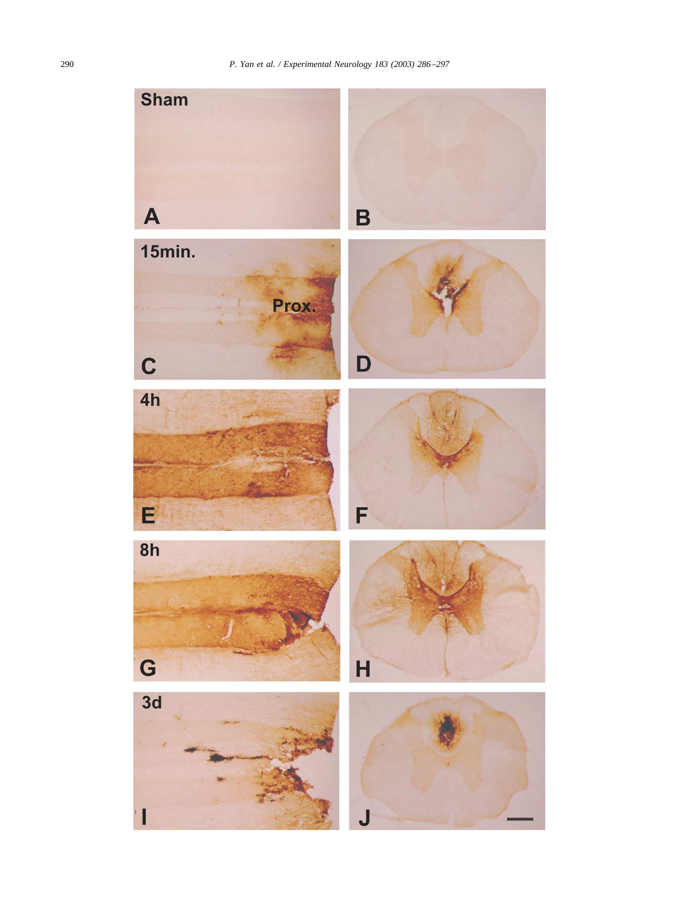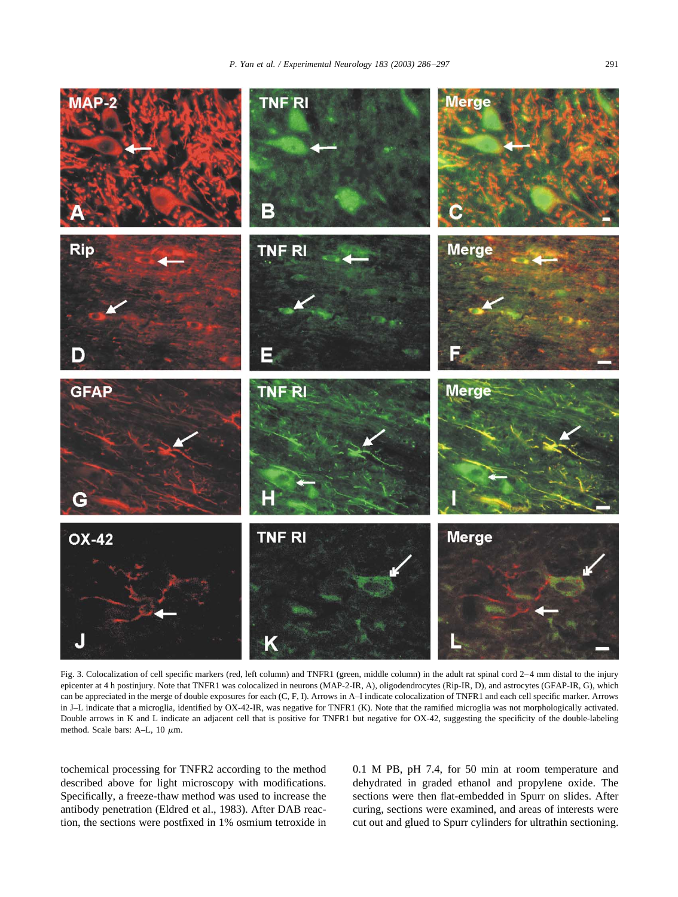<span id="page-5-0"></span>

Fig. 3. Colocalization of cell specific markers (red, left column) and TNFR1 (green, middle column) in the adult rat spinal cord 2–4 mm distal to the injury epicenter at 4 h postinjury. Note that TNFR1 was colocalized in neurons (MAP-2-IR, A), oligodendrocytes (Rip-IR, D), and astrocytes (GFAP-IR, G), which can be appreciated in the merge of double exposures for each (C, F, I). Arrows in A–I indicate colocalization of TNFR1 and each cell specific marker. Arrows in J–L indicate that a microglia, identified by OX-42-IR, was negative for TNFR1 (K). Note that the ramified microglia was not morphologically activated. Double arrows in K and L indicate an adjacent cell that is positive for TNFR1 but negative for OX-42, suggesting the specificity of the double-labeling method. Scale bars: A-L,  $10 \mu m$ .

tochemical processing for TNFR2 according to the method described above for light microscopy with modifications. Specifically, a freeze-thaw method was used to increase the antibody penetration [\(Eldred et al., 1983\).](#page-10-0) After DAB reaction, the sections were postfixed in 1% osmium tetroxide in

**MAP** 

**Rip** 

D

G

J

0.1 M PB, pH 7.4, for 50 min at room temperature and dehydrated in graded ethanol and propylene oxide. The sections were then flat-embedded in Spurr on slides. After curing, sections were examined, and areas of interests were cut out and glued to Spurr cylinders for ultrathin sectioning.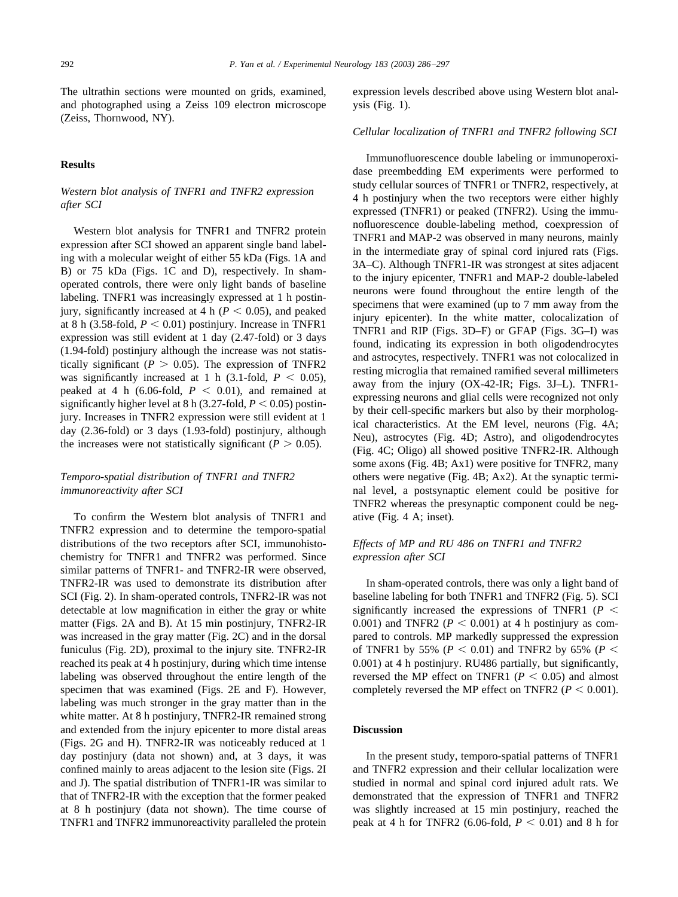The ultrathin sections were mounted on grids, examined, and photographed using a Zeiss 109 electron microscope (Zeiss, Thornwood, NY).

# **Results**

# *Western blot analysis of TNFR1 and TNFR2 expression after SCI*

Western blot analysis for TNFR1 and TNFR2 protein expression after SCI showed an apparent single band labeling with a molecular weight of either 55 kDa ([Figs. 1A and](#page-3-0) [B](#page-3-0)) or 75 kDa ([Figs. 1C and D](#page-3-0)), respectively. In shamoperated controls, there were only light bands of baseline labeling. TNFR1 was increasingly expressed at 1 h postinjury, significantly increased at 4 h ( $P < 0.05$ ), and peaked at 8 h (3.58-fold,  $P < 0.01$ ) postinjury. Increase in TNFR1 expression was still evident at 1 day (2.47-fold) or 3 days (1.94-fold) postinjury although the increase was not statistically significant  $(P > 0.05)$ . The expression of TNFR2 was significantly increased at 1 h  $(3.1\text{-fold}, P \leq 0.05)$ , peaked at 4 h  $(6.06\text{-}fold, P < 0.01)$ , and remained at significantly higher level at 8 h (3.27-fold,  $P < 0.05$ ) postinjury. Increases in TNFR2 expression were still evident at 1 day (2.36-fold) or 3 days (1.93-fold) postinjury, although the increases were not statistically significant ( $P > 0.05$ ).

# *Temporo-spatial distribution of TNFR1 and TNFR2 immunoreactivity after SCI*

To confirm the Western blot analysis of TNFR1 and TNFR2 expression and to determine the temporo-spatial distributions of the two receptors after SCI, immunohistochemistry for TNFR1 and TNFR2 was performed. Since similar patterns of TNFR1- and TNFR2-IR were observed, TNFR2-IR was used to demonstrate its distribution after SCI [\(Fig. 2](#page-3-0)). In sham-operated controls, TNFR2-IR was not detectable at low magnification in either the gray or white matter ([Figs. 2A and B\)](#page-3-0). At 15 min postinjury, TNFR2-IR was increased in the gray matter [\(Fig. 2C](#page-3-0)) and in the dorsal funiculus [\(Fig. 2D\)](#page-3-0), proximal to the injury site. TNFR2-IR reached its peak at 4 h postinjury, during which time intense labeling was observed throughout the entire length of the specimen that was examined [\(Figs. 2E and F](#page-3-0)). However, labeling was much stronger in the gray matter than in the white matter. At 8 h postinjury, TNFR2-IR remained strong and extended from the injury epicenter to more distal areas [\(Figs. 2G and H](#page-3-0)). TNFR2-IR was noticeably reduced at 1 day postinjury (data not shown) and, at 3 days, it was confined mainly to areas adjacent to the lesion site ([Figs. 2I](#page-3-0) [and J\)](#page-3-0). The spatial distribution of TNFR1-IR was similar to that of TNFR2-IR with the exception that the former peaked at 8 h postinjury (data not shown). The time course of TNFR1 and TNFR2 immunoreactivity paralleled the protein

expression levels described above using Western blot analysis ([Fig. 1](#page-3-0)).

# *Cellular localization of TNFR1 and TNFR2 following SCI*

Immunofluorescence double labeling or immunoperoxidase preembedding EM experiments were performed to study cellular sources of TNFR1 or TNFR2, respectively, at 4 h postinjury when the two receptors were either highly expressed (TNFR1) or peaked (TNFR2). Using the immunofluorescence double-labeling method, coexpression of TNFR1 and MAP-2 was observed in many neurons, mainly in the intermediate gray of spinal cord injured rats ([Figs.](#page-5-0) [3A–C\)](#page-5-0). Although TNFR1-IR was strongest at sites adjacent to the injury epicenter, TNFR1 and MAP-2 double-labeled neurons were found throughout the entire length of the specimens that were examined (up to 7 mm away from the injury epicenter). In the white matter, colocalization of TNFR1 and RIP ([Figs. 3D–F](#page-5-0)) or GFAP [\(Figs. 3G–I](#page-5-0)) was found, indicating its expression in both oligodendrocytes and astrocytes, respectively. TNFR1 was not colocalized in resting microglia that remained ramified several millimeters away from the injury (OX-42-IR; [Figs. 3J–L\)](#page-5-0). TNFR1 expressing neurons and glial cells were recognized not only by their cell-specific markers but also by their morphological characteristics. At the EM level, neurons ([Fig. 4A;](#page-7-0) Neu), astrocytes [\(Fig. 4D;](#page-7-0) Astro), and oligodendrocytes [\(Fig. 4C;](#page-7-0) Oligo) all showed positive TNFR2-IR. Although some axons ([Fig. 4B;](#page-7-0) Ax1) were positive for TNFR2, many others were negative [\(Fig. 4B;](#page-7-0) Ax2). At the synaptic terminal level, a postsynaptic element could be positive for TNFR2 whereas the presynaptic component could be negative ([Fig. 4 A](#page-7-0); inset).

# *Effects of MP and RU 486 on TNFR1 and TNFR2 expression after SCI*

In sham-operated controls, there was only a light band of baseline labeling for both TNFR1 and TNFR2 [\(Fig. 5\)](#page-7-0). SCI significantly increased the expressions of TNFR1 ( $P$  < 0.001) and TNFR2 ( $P < 0.001$ ) at 4 h postinjury as compared to controls. MP markedly suppressed the expression of TNFR1 by 55% ( $P < 0.01$ ) and TNFR2 by 65% ( $P <$ 0.001) at 4 h postinjury. RU486 partially, but significantly, reversed the MP effect on TNFR1 ( $P < 0.05$ ) and almost completely reversed the MP effect on TNFR2 ( $P < 0.001$ ).

# **Discussion**

In the present study, temporo-spatial patterns of TNFR1 and TNFR2 expression and their cellular localization were studied in normal and spinal cord injured adult rats. We demonstrated that the expression of TNFR1 and TNFR2 was slightly increased at 15 min postinjury, reached the peak at 4 h for TNFR2 (6.06-fold,  $P < 0.01$ ) and 8 h for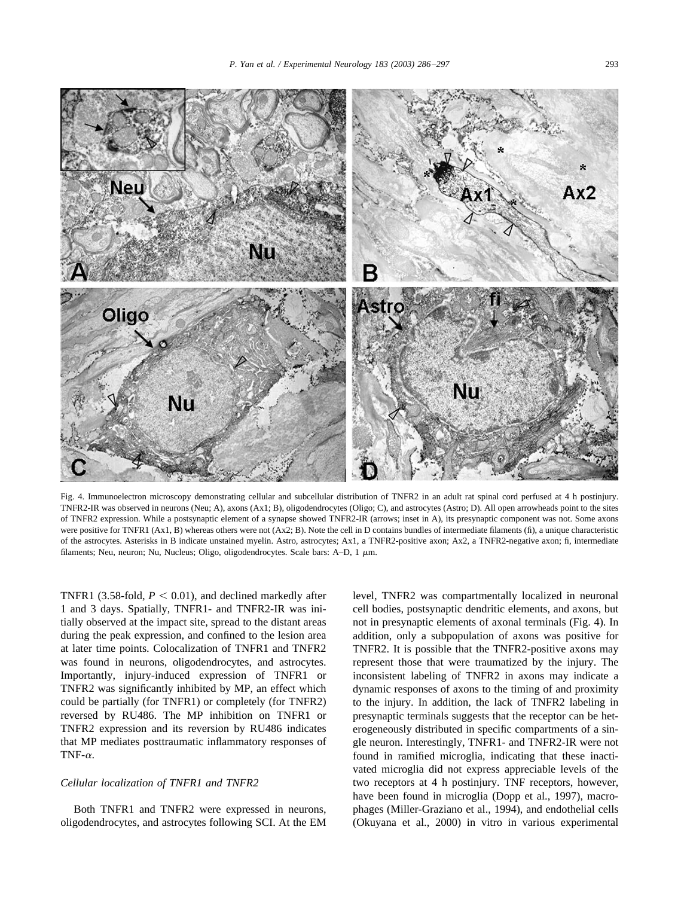<span id="page-7-0"></span>

Fig. 4. Immunoelectron microscopy demonstrating cellular and subcellular distribution of TNFR2 in an adult rat spinal cord perfused at 4 h postinjury. TNFR2-IR was observed in neurons (Neu; A), axons (Ax1; B), oligodendrocytes (Oligo; C), and astrocytes (Astro; D). All open arrowheads point to the sites of TNFR2 expression. While a postsynaptic element of a synapse showed TNFR2-IR (arrows; inset in A), its presynaptic component was not. Some axons were positive for TNFR1 (Ax1, B) whereas others were not (Ax2; B). Note the cell in D contains bundles of intermediate filaments (fi), a unique characteristic of the astrocytes. Asterisks in B indicate unstained myelin. Astro, astrocytes; Ax1, a TNFR2-positive axon; Ax2, a TNFR2-negative axon; fi, intermediate filaments; Neu, neuron; Nu, Nucleus; Oligo, oligodendrocytes. Scale bars: A-D, 1  $\mu$ m.

TNFR1 (3.58-fold,  $P < 0.01$ ), and declined markedly after 1 and 3 days. Spatially, TNFR1- and TNFR2-IR was initially observed at the impact site, spread to the distant areas during the peak expression, and confined to the lesion area at later time points. Colocalization of TNFR1 and TNFR2 was found in neurons, oligodendrocytes, and astrocytes. Importantly, injury-induced expression of TNFR1 or TNFR2 was significantly inhibited by MP, an effect which could be partially (for TNFR1) or completely (for TNFR2) reversed by RU486. The MP inhibition on TNFR1 or TNFR2 expression and its reversion by RU486 indicates that MP mediates posttraumatic inflammatory responses of TNF- $\alpha$ .

#### *Cellular localization of TNFR1 and TNFR2*

Both TNFR1 and TNFR2 were expressed in neurons, oligodendrocytes, and astrocytes following SCI. At the EM level, TNFR2 was compartmentally localized in neuronal cell bodies, postsynaptic dendritic elements, and axons, but not in presynaptic elements of axonal terminals (Fig. 4). In addition, only a subpopulation of axons was positive for TNFR2. It is possible that the TNFR2-positive axons may represent those that were traumatized by the injury. The inconsistent labeling of TNFR2 in axons may indicate a dynamic responses of axons to the timing of and proximity to the injury. In addition, the lack of TNFR2 labeling in presynaptic terminals suggests that the receptor can be heterogeneously distributed in specific compartments of a single neuron. Interestingly, TNFR1- and TNFR2-IR were not found in ramified microglia, indicating that these inactivated microglia did not express appreciable levels of the two receptors at 4 h postinjury. TNF receptors, however, have been found in microglia [\(Dopp et al., 1997\)](#page-10-0), macrophages [\(Miller-Graziano et al., 1994\),](#page-10-0) and endothelial cells [\(Okuyana et al., 2000\)](#page-10-0) in vitro in various experimental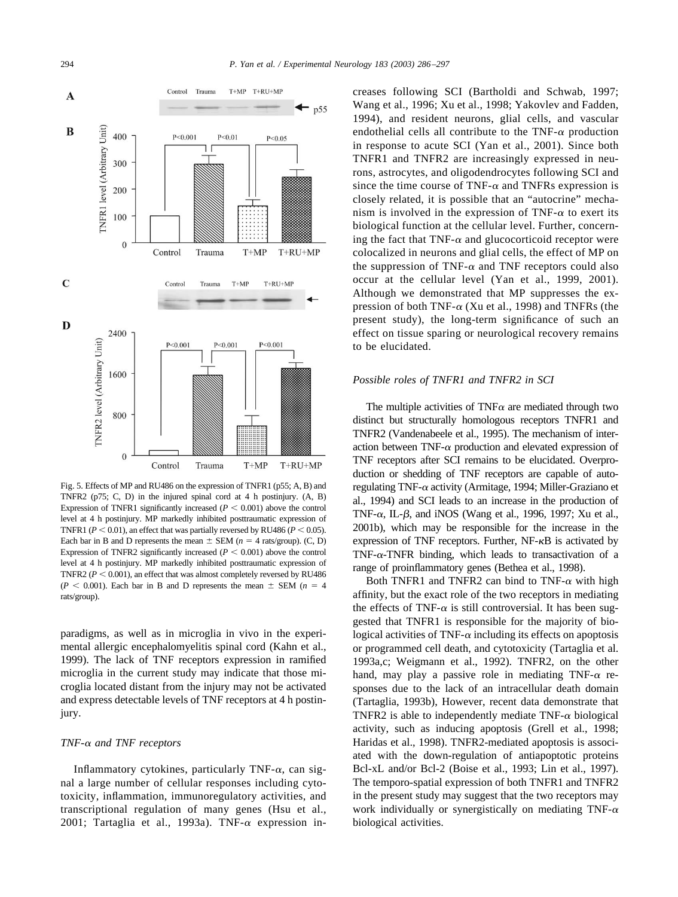

Fig. 5. Effects of MP and RU486 on the expression of TNFR1 (p55; A, B) and TNFR2 (p75; C, D) in the injured spinal cord at 4 h postinjury. (A, B) Expression of TNFR1 significantly increased  $(P < 0.001)$  above the control level at 4 h postinjury. MP markedly inhibited posttraumatic expression of TNFR1 ( $P < 0.01$ ), an effect that was partially reversed by RU486 ( $P < 0.05$ ). Each bar in B and D represents the mean  $\pm$  SEM ( $n = 4$  rats/group). (C, D) Expression of TNFR2 significantly increased  $(P < 0.001)$  above the control level at 4 h postinjury. MP markedly inhibited posttraumatic expression of TNFR2 ( $P < 0.001$ ), an effect that was almost completely reversed by RU486  $(P < 0.001)$ . Each bar in B and D represents the mean  $\pm$  SEM ( $n = 4$ ) rats/group).

paradigms, as well as in microglia in vivo in the experimental allergic encephalomyelitis spinal cord [\(Kahn et al.,](#page-10-0) [1999\)](#page-10-0). The lack of TNF receptors expression in ramified microglia in the current study may indicate that those microglia located distant from the injury may not be activated and express detectable levels of TNF receptors at 4 h postinjury.

#### *TNF- and TNF receptors*

Inflammatory cytokines, particularly TNF- $\alpha$ , can signal a large number of cellular responses including cytotoxicity, inflammation, immunoregulatory activities, and transcriptional regulation of many genes [\(Hsu et al.,](#page-10-0) [2001; Tartaglia et al., 1993a\)](#page-10-0). TNF- $\alpha$  expression increases following SCI [\(Bartholdi and Schwab, 1997;](#page-10-0) [Wang et al., 1996; Xu et al., 1998; Yakovlev and Fadden,](#page-10-0) [1994\)](#page-10-0), and resident neurons, glial cells, and vascular endothelial cells all contribute to the TNF- $\alpha$  production in response to acute SCI (Yan et al., 2001). Since both TNFR1 and TNFR2 are increasingly expressed in neurons, astrocytes, and oligodendrocytes following SCI and since the time course of TNF- $\alpha$  and TNFRs expression is closely related, it is possible that an "autocrine" mechanism is involved in the expression of TNF- $\alpha$  to exert its biological function at the cellular level. Further, concerning the fact that TNF- $\alpha$  and glucocorticoid receptor were colocalized in neurons and glial cells, the effect of MP on the suppression of TNF- $\alpha$  and TNF receptors could also occur at the cellular level [\(Yan et al., 1999, 2001\)](#page-11-0). Although we demonstrated that MP suppresses the expression of both TNF- $\alpha$  [\(Xu et al., 1998\)](#page-11-0) and TNFRs (the present study), the long-term significance of such an effect on tissue sparing or neurological recovery remains to be elucidated.

## *Possible roles of TNFR1 and TNFR2 in SCI*

The multiple activities of TNF $\alpha$  are mediated through two distinct but structurally homologous receptors TNFR1 and TNFR2 [\(Vandenabeele et al., 1995\).](#page-11-0) The mechanism of interaction between TNF- $\alpha$  production and elevated expression of TNF receptors after SCI remains to be elucidated. Overproduction or shedding of TNF receptors are capable of autoregulating TNF- $\alpha$  activity [\(Armitage, 1994; Miller-Graziano et](#page-9-0) [al., 1994\)](#page-9-0) and SCI leads to an increase in the production of TNF- $\alpha$ , IL- $\beta$ , and iNOS [\(Wang et al., 1996, 1997; Xu et al.,](#page-11-0) [2001b\),](#page-11-0) which may be responsible for the increase in the expression of TNF receptors. Further,  $NF- $\kappa$ B$  is activated by TNF- $\alpha$ -TNFR binding, which leads to transactivation of a range of proinflammatory genes [\(Bethea et al., 1998\).](#page-10-0)

Both TNFR1 and TNFR2 can bind to TNF- $\alpha$  with high affinity, but the exact role of the two receptors in mediating the effects of TNF- $\alpha$  is still controversial. It has been suggested that TNFR1 is responsible for the majority of biological activities of TNF- $\alpha$  including its effects on apoptosis or programmed cell death, and cytotoxicity [\(Tartaglia et al.](#page-11-0) [1993a,c; Weigmann et al., 1992\).](#page-11-0) TNFR2, on the other hand, may play a passive role in mediating TNF- $\alpha$  responses due to the lack of an intracellular death domain [\(Tartaglia, 1993b\),](#page-11-0) However, recent data demonstrate that TNFR2 is able to independently mediate TNF- $\alpha$  biological activity, such as inducing apoptosis [\(Grell et al., 1998;](#page-10-0) [Haridas et al., 1998\)](#page-10-0). TNFR2-mediated apoptosis is associated with the down-regulation of antiapoptotic proteins Bcl-xL and/or Bcl-2 [\(Boise et al., 1993; Lin et al., 1997\)](#page-10-0). The temporo-spatial expression of both TNFR1 and TNFR2 in the present study may suggest that the two receptors may work individually or synergistically on mediating TNF- $\alpha$ biological activities.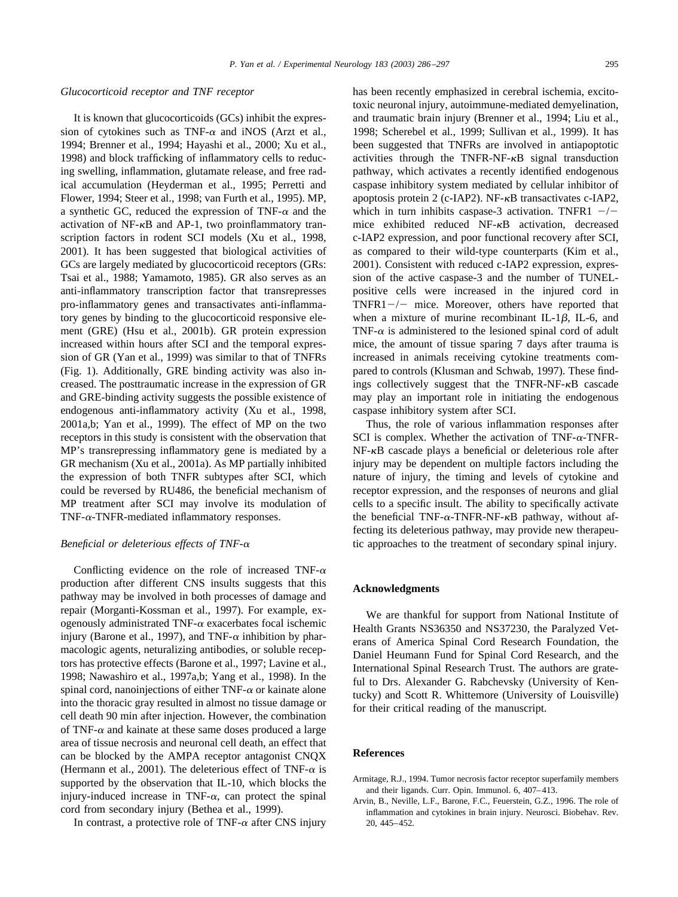#### <span id="page-9-0"></span>*Glucocorticoid receptor and TNF receptor*

It is known that glucocorticoids (GCs) inhibit the expression of cytokines such as TNF- $\alpha$  and iNOS [\(Arzt et al.,](#page-10-0) [1994; Brenner et al., 1994; Hayashi et al., 2000; Xu et al.,](#page-10-0) [1998\)](#page-10-0) and block trafficking of inflammatory cells to reducing swelling, inflammation, glutamate release, and free radical accumulation [\(Heyderman et al., 1995; Perretti and](#page-10-0) [Flower, 1994; Steer et al., 1998; van Furth et al., 1995\).](#page-10-0) MP, a synthetic GC, reduced the expression of TNF- $\alpha$  and the activation of  $NF-\kappa B$  and  $AP-1$ , two proinflammatory transcription factors in rodent SCI models [\(Xu et al., 1998,](#page-11-0) [2001\)](#page-11-0). It has been suggested that biological activities of GCs are largely mediated by glucocorticoid receptors (GRs: [Tsai et al., 1988; Yamamoto, 1985\).](#page-11-0) GR also serves as an anti-inflammatory transcription factor that transrepresses pro-inflammatory genes and transactivates anti-inflammatory genes by binding to the glucocorticoid responsive element (GRE) [\(Hsu et al., 2001b\).](#page-10-0) GR protein expression increased within hours after SCI and the temporal expression of GR [\(Yan et al., 1999\)](#page-11-0) was similar to that of TNFRs [\(Fig. 1](#page-3-0)). Additionally, GRE binding activity was also increased. The posttraumatic increase in the expression of GR and GRE-binding activity suggests the possible existence of endogenous anti-inflammatory activity [\(Xu et al., 1998,](#page-11-0) [2001a,b; Yan et al., 1999\)](#page-11-0). The effect of MP on the two receptors in this study is consistent with the observation that MP's transrepressing inflammatory gene is mediated by a GR mechanism [\(Xu et al., 2001a\)](#page-11-0). As MP partially inhibited the expression of both TNFR subtypes after SCI, which could be reversed by RU486, the beneficial mechanism of MP treatment after SCI may involve its modulation of TNF- $\alpha$ -TNFR-mediated inflammatory responses.

#### *Beneficial or deleterious effects of TNF-*

Conflicting evidence on the role of increased TNF- $\alpha$ production after different CNS insults suggests that this pathway may be involved in both processes of damage and repair [\(Morganti-Kossman et al., 1997\)](#page-10-0). For example, exogenously administrated TNF- $\alpha$  exacerbates focal ischemic injury [\(Barone et al., 1997\)](#page-10-0), and TNF- $\alpha$  inhibition by pharmacologic agents, neturalizing antibodies, or soluble receptors has protective effects [\(Barone et al., 1997; Lavine et al.,](#page-10-0) [1998; Nawashiro et al., 1997a,b; Yang et al., 1998\)](#page-10-0). In the spinal cord, nanoinjections of either TNF- $\alpha$  or kainate alone into the thoracic gray resulted in almost no tissue damage or cell death 90 min after injection. However, the combination of TNF- $\alpha$  and kainate at these same doses produced a large area of tissue necrosis and neuronal cell death, an effect that can be blocked by the AMPA receptor antagonist CNQX [\(Hermann et al., 2001\).](#page-10-0) The deleterious effect of TNF- $\alpha$  is supported by the observation that IL-10, which blocks the injury-induced increase in TNF- $\alpha$ , can protect the spinal cord from secondary injury [\(Bethea et al., 1999\)](#page-10-0).

In contrast, a protective role of TNF- $\alpha$  after CNS injury

has been recently emphasized in cerebral ischemia, excitotoxic neuronal injury, autoimmune-mediated demyelination, and traumatic brain injury [\(Brenner et al., 1994; Liu et al.,](#page-10-0) [1998; Scherebel et al., 1999; Sullivan et al., 1999\)](#page-10-0). It has been suggested that TNFRs are involved in antiapoptotic activities through the TNFR-NF- $\kappa$ B signal transduction pathway, which activates a recently identified endogenous caspase inhibitory system mediated by cellular inhibitor of apoptosis protein 2 (c-IAP2). NF-KB transactivates c-IAP2, which in turn inhibits caspase-3 activation. TNFR1  $-/$ mice exhibited reduced NF- $\kappa$ B activation, decreased c-IAP2 expression, and poor functional recovery after SCI, as compared to their wild-type counterparts [\(Kim et al.,](#page-10-0) [2001\)](#page-10-0). Consistent with reduced c-IAP2 expression, expression of the active caspase-3 and the number of TUNELpositive cells were increased in the injured cord in  $TNFR1-/-$  mice. Moreover, others have reported that when a mixture of murine recombinant IL-1 $\beta$ , IL-6, and TNF- $\alpha$  is administered to the lesioned spinal cord of adult mice, the amount of tissue sparing 7 days after trauma is increased in animals receiving cytokine treatments compared to controls [\(Klusman and Schwab, 1997\)](#page-10-0). These findings collectively suggest that the TNFR-NF- $\kappa$ B cascade may play an important role in initiating the endogenous caspase inhibitory system after SCI.

Thus, the role of various inflammation responses after SCI is complex. Whether the activation of TNF- $\alpha$ -TNFR-NF-<sub>K</sub>B cascade plays a beneficial or deleterious role after injury may be dependent on multiple factors including the nature of injury, the timing and levels of cytokine and receptor expression, and the responses of neurons and glial cells to a specific insult. The ability to specifically activate the beneficial TNF- $\alpha$ -TNFR-NF- $\kappa$ B pathway, without affecting its deleterious pathway, may provide new therapeutic approaches to the treatment of secondary spinal injury.

#### **Acknowledgments**

We are thankful for support from National Institute of Health Grants NS36350 and NS37230, the Paralyzed Veterans of America Spinal Cord Research Foundation, the Daniel Heumann Fund for Spinal Cord Research, and the International Spinal Research Trust. The authors are grateful to Drs. Alexander G. Rabchevsky (University of Kentucky) and Scott R. Whittemore (University of Louisville) for their critical reading of the manuscript.

## **References**

- Armitage, R.J., 1994. Tumor necrosis factor receptor superfamily members and their ligands. Curr. Opin. Immunol. 6, 407–413.
- Arvin, B., Neville, L.F., Barone, F.C., Feuerstein, G.Z., 1996. The role of inflammation and cytokines in brain injury. Neurosci. Biobehav. Rev. 20, 445–452.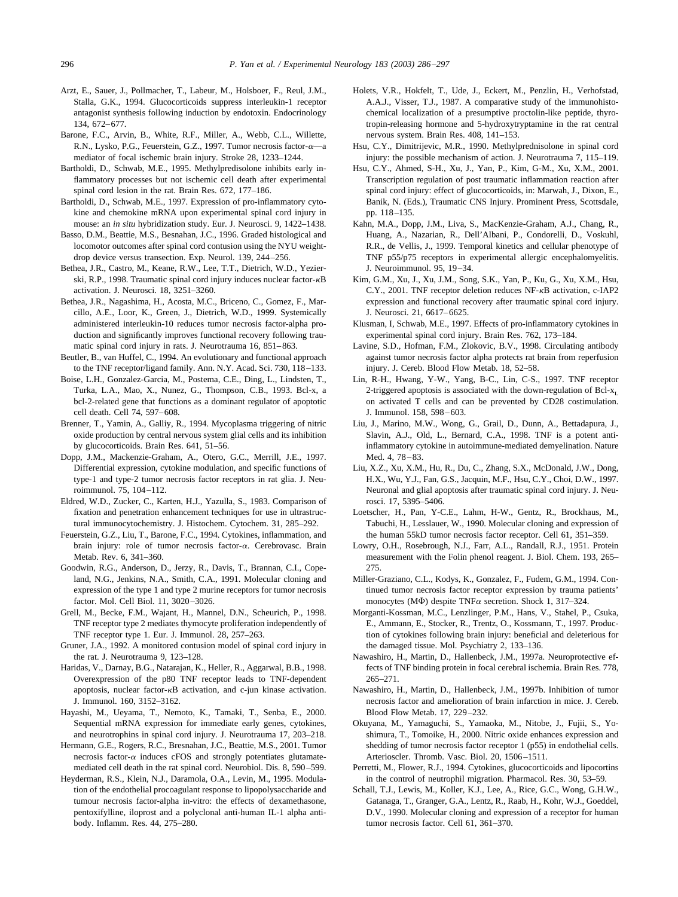- <span id="page-10-0"></span>Arzt, E., Sauer, J., Pollmacher, T., Labeur, M., Holsboer, F., Reul, J.M., Stalla, G.K., 1994. Glucocorticoids suppress interleukin-1 receptor antagonist synthesis following induction by endotoxin. Endocrinology 134, 672–677.
- Barone, F.C., Arvin, B., White, R.F., Miller, A., Webb, C.L., Willette, R.N., Lysko, P.G., Feuerstein, G.Z., 1997. Tumor necrosis factor- $\alpha$ —a mediator of focal ischemic brain injury. Stroke 28, 1233–1244.
- Bartholdi, D., Schwab, M.E., 1995. Methylpredisolone inhibits early inflammatory processes but not ischemic cell death after experimental spinal cord lesion in the rat. Brain Res. 672, 177–186.
- Bartholdi, D., Schwab, M.E., 1997. Expression of pro-inflammatory cytokine and chemokine mRNA upon experimental spinal cord injury in mouse: an *in situ* hybridization study. Eur. J. Neurosci. 9, 1422–1438.
- Basso, D.M., Beattie, M.S., Besnahan, J.C., 1996. Graded histological and locomotor outcomes after spinal cord contusion using the NYU weightdrop device versus transection. Exp. Neurol. 139, 244–256.
- Bethea, J.R., Castro, M., Keane, R.W., Lee, T.T., Dietrich, W.D., Yezierski, R.P., 1998. Traumatic spinal cord injury induces nuclear factor- $\kappa$ B activation. J. Neurosci. 18, 3251–3260.
- Bethea, J.R., Nagashima, H., Acosta, M.C., Briceno, C., Gomez, F., Marcillo, A.E., Loor, K., Green, J., Dietrich, W.D., 1999. Systemically administered interleukin-10 reduces tumor necrosis factor-alpha production and significantly improves functional recovery following traumatic spinal cord injury in rats. J. Neurotrauma 16, 851–863.
- Beutler, B., van Huffel, C., 1994. An evolutionary and functional approach to the TNF receptor/ligand family. Ann. N.Y. Acad. Sci. 730, 118–133.
- Boise, L.H., Gonzalez-Garcia, M., Postema, C.E., Ding, L., Lindsten, T., Turka, L.A., Mao, X., Nunez, G., Thompson, C.B., 1993. Bcl-x, a bcl-2-related gene that functions as a dominant regulator of apoptotic cell death. Cell 74, 597–608.
- Brenner, T., Yamin, A., Galliy, R., 1994. Mycoplasma triggering of nitric oxide production by central nervous system glial cells and its inhibition by glucocorticoids. Brain Res. 641, 51–56.
- Dopp, J.M., Mackenzie-Graham, A., Otero, G.C., Merrill, J.E., 1997. Differential expression, cytokine modulation, and specific functions of type-1 and type-2 tumor necrosis factor receptors in rat glia. J. Neuroimmunol. 75, 104–112.
- Eldred, W.D., Zucker, C., Karten, H.J., Yazulla, S., 1983. Comparison of fixation and penetration enhancement techniques for use in ultrastructural immunocytochemistry. J. Histochem. Cytochem. 31, 285–292.
- Feuerstein, G.Z., Liu, T., Barone, F.C., 1994. Cytokines, inflammation, and brain injury: role of tumor necrosis factor- $\alpha$ . Cerebrovasc. Brain Metab. Rev. 6, 341–360.
- Goodwin, R.G., Anderson, D., Jerzy, R., Davis, T., Brannan, C.I., Copeland, N.G., Jenkins, N.A., Smith, C.A., 1991. Molecular cloning and expression of the type 1 and type 2 murine receptors for tumor necrosis factor. Mol. Cell Biol. 11, 3020–3026.
- Grell, M., Becke, F.M., Wajant, H., Mannel, D.N., Scheurich, P., 1998. TNF receptor type 2 mediates thymocyte proliferation independently of TNF receptor type 1. Eur. J. Immunol. 28, 257–263.
- Gruner, J.A., 1992. A monitored contusion model of spinal cord injury in the rat. J. Neurotrauma 9, 123–128.
- Haridas, V., Darnay, B.G., Natarajan, K., Heller, R., Aggarwal, B.B., 1998. Overexpression of the p80 TNF receptor leads to TNF-dependent apoptosis, nuclear factor- $\kappa$ B activation, and c-jun kinase activation. J. Immunol. 160, 3152–3162.
- Hayashi, M., Ueyama, T., Nemoto, K., Tamaki, T., Senba, E., 2000. Sequential mRNA expression for immediate early genes, cytokines, and neurotrophins in spinal cord injury. J. Neurotrauma 17, 203–218.
- Hermann, G.E., Rogers, R.C., Bresnahan, J.C., Beattie, M.S., 2001. Tumor necrosis factor- $\alpha$  induces cFOS and strongly potentiates glutamatemediated cell death in the rat spinal cord. Neurobiol. Dis. 8, 590–599.
- Heyderman, R.S., Klein, N.J., Daramola, O.A., Levin, M., 1995. Modulation of the endothelial procoagulant response to lipopolysaccharide and tumour necrosis factor-alpha in-vitro: the effects of dexamethasone, pentoxifylline, iloprost and a polyclonal anti-human IL-1 alpha antibody. Inflamm. Res. 44, 275–280.
- Holets, V.R., Hokfelt, T., Ude, J., Eckert, M., Penzlin, H., Verhofstad, A.A.J., Visser, T.J., 1987. A comparative study of the immunohistochemical localization of a presumptive proctolin-like peptide, thyrotropin-releasing hormone and 5-hydroxytryptamine in the rat central nervous system. Brain Res. 408, 141–153.
- Hsu, C.Y., Dimitrijevic, M.R., 1990. Methylprednisolone in spinal cord injury: the possible mechanism of action. J. Neurotrauma 7, 115–119.
- Hsu, C.Y., Ahmed, S-H., Xu, J., Yan, P., Kim, G-M., Xu, X.M., 2001. Transcription regulation of post traumatic inflammation reaction after spinal cord injury: effect of glucocorticoids, in: Marwah, J., Dixon, E., Banik, N. (Eds.), Traumatic CNS Injury. Prominent Press, Scottsdale, pp. 118–135.
- Kahn, M.A., Dopp, J.M., Liva, S., MacKenzie-Graham, A.J., Chang, R., Huang, A., Nazarian, R., Dell'Albani, P., Condorelli, D., Voskuhl, R.R., de Vellis, J., 1999. Temporal kinetics and cellular phenotype of TNF p55/p75 receptors in experimental allergic encephalomyelitis. J. Neuroimmunol. 95, 19–34.
- Kim, G.M., Xu, J., Xu, J.M., Song, S.K., Yan, P., Ku, G., Xu, X.M., Hsu, C.Y., 2001. TNF receptor deletion reduces NF- $\kappa$ B activation, c-IAP2 expression and functional recovery after traumatic spinal cord injury. J. Neurosci. 21, 6617–6625.
- Klusman, I, Schwab, M.E., 1997. Effects of pro-inflammatory cytokines in experimental spinal cord injury. Brain Res. 762, 173–184.
- Lavine, S.D., Hofman, F.M., Zlokovic, B.V., 1998. Circulating antibody against tumor necrosis factor alpha protects rat brain from reperfusion injury. J. Cereb. Blood Flow Metab. 18, 52–58.
- Lin, R-H., Hwang, Y-W., Yang, B-C., Lin, C-S., 1997. TNF receptor 2-triggered apoptosis is associated with the down-regulation of  $Bcl-x<sub>L</sub>$ on activated T cells and can be prevented by CD28 costimulation. J. Immunol. 158, 598–603.
- Liu, J., Marino, M.W., Wong, G., Grail, D., Dunn, A., Bettadapura, J., Slavin, A.J., Old, L., Bernard, C.A., 1998. TNF is a potent antiinflammatory cytokine in autoimmune-mediated demyelination. Nature Med. 4, 78–83.
- Liu, X.Z., Xu, X.M., Hu, R., Du, C., Zhang, S.X., McDonald, J.W., Dong, H.X., Wu, Y.J., Fan, G.S., Jacquin, M.F., Hsu, C.Y., Choi, D.W., 1997. Neuronal and glial apoptosis after traumatic spinal cord injury. J. Neurosci. 17, 5395–5406.
- Loetscher, H., Pan, Y-C.E., Lahm, H-W., Gentz, R., Brockhaus, M., Tabuchi, H., Lesslauer, W., 1990. Molecular cloning and expression of the human 55kD tumor necrosis factor receptor. Cell 61, 351–359.
- Lowry, O.H., Rosebrough, N.J., Farr, A.L., Randall, R.J., 1951. Protein measurement with the Folin phenol reagent. J. Biol. Chem. 193, 265– 275.
- Miller-Graziano, C.L., Kodys, K., Gonzalez, F., Fudem, G.M., 1994. Continued tumor necrosis factor receptor expression by trauma patients' monocytes (M $\Phi$ ) despite TNF $\alpha$  secretion. Shock 1, 317–324.
- Morganti-Kossman, M.C., Lenzlinger, P.M., Hans, V., Stahel, P., Csuka, E., Ammann, E., Stocker, R., Trentz, O., Kossmann, T., 1997. Production of cytokines following brain injury: beneficial and deleterious for the damaged tissue. Mol. Psychiatry 2, 133–136.
- Nawashiro, H., Martin, D., Hallenbeck, J.M., 1997a. Neuroprotective effects of TNF binding protein in focal cerebral ischemia. Brain Res. 778, 265–271.
- Nawashiro, H., Martin, D., Hallenbeck, J.M., 1997b. Inhibition of tumor necrosis factor and amelioration of brain infarction in mice. J. Cereb. Blood Flow Metab. 17, 229–232.
- Okuyana, M., Yamaguchi, S., Yamaoka, M., Nitobe, J., Fujii, S., Yoshimura, T., Tomoike, H., 2000. Nitric oxide enhances expression and shedding of tumor necrosis factor receptor 1 (p55) in endothelial cells. Arterioscler. Thromb. Vasc. Biol. 20, 1506–1511.
- Perretti, M., Flower, R.J., 1994. Cytokines, glucocorticoids and lipocortins in the control of neutrophil migration. Pharmacol. Res. 30, 53–59.
- Schall, T.J., Lewis, M., Koller, K.J., Lee, A., Rice, G.C., Wong, G.H.W., Gatanaga, T., Granger, G.A., Lentz, R., Raab, H., Kohr, W.J., Goeddel, D.V., 1990. Molecular cloning and expression of a receptor for human tumor necrosis factor. Cell 61, 361–370.